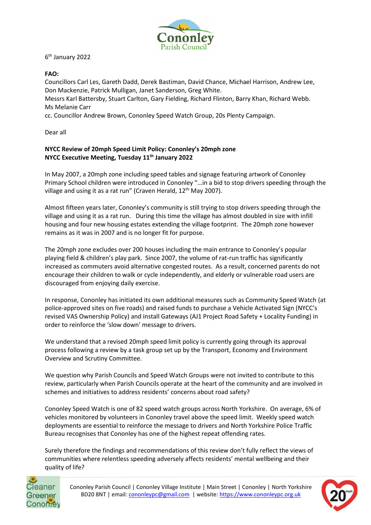

6 th January 2022

## **FAO:**

Councillors Carl Les, Gareth Dadd, Derek Bastiman, David Chance, Michael Harrison, Andrew Lee, Don Mackenzie, Patrick Mulligan, Janet Sanderson, Greg White.

Messrs Karl Battersby, Stuart Carlton, Gary Fielding, Richard Flinton, Barry Khan, Richard Webb. Ms Melanie Carr

cc. Councillor Andrew Brown, Cononley Speed Watch Group, 20s Plenty Campaign.

Dear all

## **NYCC Review of 20mph Speed Limit Policy: Cononley's 20mph zone NYCC Executive Meeting, Tuesday 11th January 2022**

In May 2007, a 20mph zone including speed tables and signage featuring artwork of Cononley Primary School children were introduced in Cononley "…in a bid to stop drivers speeding through the village and using it as a rat run" (Craven Herald, 12<sup>th</sup> May 2007).

Almost fifteen years later, Cononley's community is still trying to stop drivers speeding through the village and using it as a rat run. During this time the village has almost doubled in size with infill housing and four new housing estates extending the village footprint. The 20mph zone however remains as it was in 2007 and is no longer fit for purpose.

The 20mph zone excludes over 200 houses including the main entrance to Cononley's popular playing field & children's play park. Since 2007, the volume of rat-run traffic has significantly increased as commuters avoid alternative congested routes. As a result, concerned parents do not encourage their children to walk or cycle independently, and elderly or vulnerable road users are discouraged from enjoying daily exercise.

In response, Cononley has initiated its own additional measures such as Community Speed Watch (at police-approved sites on five roads) and raised funds to purchase a Vehicle Activated Sign (NYCC's revised VAS Ownership Policy) and install Gateways (AJ1 Project Road Safety + Locality Funding) in order to reinforce the 'slow down' message to drivers.

We understand that a revised 20mph speed limit policy is currently going through its approval process following a review by a task group set up by the Transport, Economy and Environment Overview and Scrutiny Committee.

We question why Parish Councils and Speed Watch Groups were not invited to contribute to this review, particularly when Parish Councils operate at the heart of the community and are involved in schemes and initiatives to address residents' concerns about road safety?

Cononley Speed Watch is one of 82 speed watch groups across North Yorkshire. On average, 6% of vehicles monitored by volunteers in Cononley travel above the speed limit. Weekly speed watch deployments are essential to reinforce the message to drivers and North Yorkshire Police Traffic Bureau recognises that Cononley has one of the highest repeat offending rates.

Surely therefore the findings and recommendations of this review don't fully reflect the views of communities where relentless speeding adversely affects residents' mental wellbeing and their quality of life?



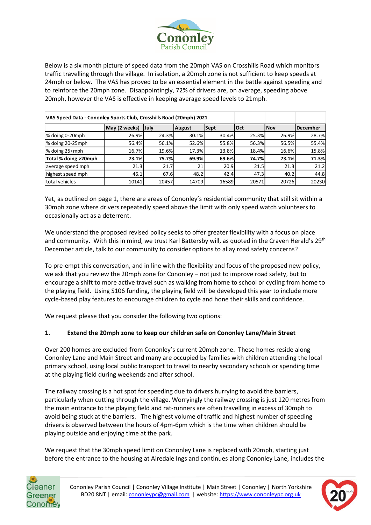

Below is a six month picture of speed data from the 20mph VAS on Crosshills Road which monitors traffic travelling through the village. In isolation, a 20mph zone is not sufficient to keep speeds at 24mph or below. The VAS has proved to be an essential element in the battle against speeding and to reinforce the 20mph zone. Disappointingly, 72% of drivers are, on average, speeding above 20mph, however the VAS is effective in keeping average speed levels to 21mph.

| VAS Speed Data - Cononley Sports Club, Crosshills Road (20mph) 2021 |               |       |        |       |             |            |                 |
|---------------------------------------------------------------------|---------------|-------|--------|-------|-------------|------------|-----------------|
|                                                                     | May (2 weeks) | July  | August | Sept  | <b>lOct</b> | <b>Nov</b> | <b>December</b> |
| % doing 0-20mph                                                     | 26.9%         | 24.3% | 30.1%  | 30.4% | 25.3%       | 26.9%      | 28.7%           |
| % doing 20-25mph                                                    | 56.4%         | 56.1% | 52.6%  | 55.8% | 56.3%       | 56.5%      | 55.4%           |
| % doing 25+mph                                                      | 16.7%         | 19.6% | 17.3%  | 13.8% | 18.4%       | 16.6%      | 15.8%           |
| Total % doing >20mph                                                | 73.1%         | 75.7% | 69.9%  | 69.6% | 74.7%       | 73.1%      | 71.3%           |
| average speed mph                                                   | 21.3          | 21.7  | 21     | 20.9  | 21.5        | 21.3       | 21.2            |
| highest speed mph                                                   | 46.1          | 67.6  | 48.2   | 42.4  | 47.3        | 40.2       | 44.8            |
| total vehicles                                                      | 10141         | 20457 | 14709  | 16589 | 20571       | 20726      | 20230           |

Yet, as outlined on page 1, there are areas of Cononley's residential community that still sit within a 30mph zone where drivers repeatedly speed above the limit with only speed watch volunteers to occasionally act as a deterrent.

We understand the proposed revised policy seeks to offer greater flexibility with a focus on place and community. With this in mind, we trust Karl Battersby will, as quoted in the Craven Herald's 29<sup>th</sup> December article, talk to our community to consider options to allay road safety concerns?

To pre-empt this conversation, and in line with the flexibility and focus of the proposed new policy, we ask that you review the 20mph zone for Cononley – not just to improve road safety, but to encourage a shift to more active travel such as walking from home to school or cycling from home to the playing field. Using S106 funding, the playing field will be developed this year to include more cycle-based play features to encourage children to cycle and hone their skills and confidence.

We request please that you consider the following two options:

## **1. Extend the 20mph zone to keep our children safe on Cononley Lane/Main Street**

Over 200 homes are excluded from Cononley's current 20mph zone. These homes reside along Cononley Lane and Main Street and many are occupied by families with children attending the local primary school, using local public transport to travel to nearby secondary schools or spending time at the playing field during weekends and after school.

The railway crossing is a hot spot for speeding due to drivers hurrying to avoid the barriers, particularly when cutting through the village. Worryingly the railway crossing is just 120 metres from the main entrance to the playing field and rat-runners are often travelling in excess of 30mph to avoid being stuck at the barriers. The highest volume of traffic and highest number of speeding drivers is observed between the hours of 4pm-6pm which is the time when children should be playing outside and enjoying time at the park.

We request that the 30mph speed limit on Cononley Lane is replaced with 20mph, starting just before the entrance to the housing at Airedale Ings and continues along Cononley Lane, includes the